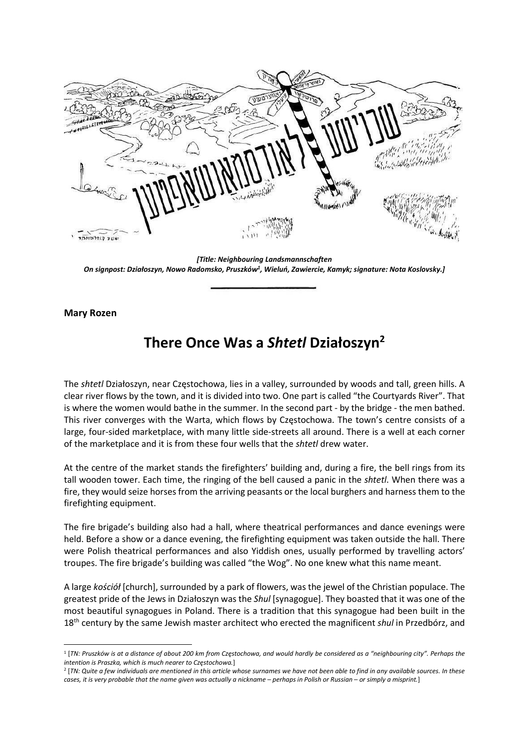**נאנוע קצולאווסמד** 

[Title: Neighbouring Landsmannschaften On signpost: Działoszyn, Nowo Radomsko, Pruszków<sup>1</sup>, Wieluń, Zawiercie, Kamyk; signature: Nota Koslovsky.]

Mary Rozen

## There Once Was a Shtetl Działoszyn<sup>2</sup>

The shtetl Działoszyn, near Częstochowa, lies in a valley, surrounded by woods and tall, green hills. A clear river flows by the town, and it is divided into two. One part is called "the Courtyards River". That is where the women would bathe in the summer. In the second part - by the bridge - the men bathed. This river converges with the Warta, which flows by Częstochowa. The town's centre consists of a large, four-sided marketplace, with many little side-streets all around. There is a well at each corner of the marketplace and it is from these four wells that the shtetl drew water.

At the centre of the market stands the firefighters' building and, during a fire, the bell rings from its tall wooden tower. Each time, the ringing of the bell caused a panic in the shtetl. When there was a fire, they would seize horses from the arriving peasants or the local burghers and harness them to the firefighting equipment.

The fire brigade's building also had a hall, where theatrical performances and dance evenings were held. Before a show or a dance evening, the firefighting equipment was taken outside the hall. There were Polish theatrical performances and also Yiddish ones, usually performed by travelling actors' troupes. The fire brigade's building was called "the Wog". No one knew what this name meant.

A large kościół [church], surrounded by a park of flowers, was the jewel of the Christian populace. The greatest pride of the Jews in Działoszyn was the Shul [synagogue]. They boasted that it was one of the most beautiful synagogues in Poland. There is a tradition that this synagogue had been built in the 18<sup>th</sup> century by the same Jewish master architect who erected the magnificent shul in Przedbórz, and

2 [TN: Quite a few individuals are mentioned in this article whose surnames we have not been able to find in any available sources. In these cases, it is very probable that the name given was actually a nickname – perhaps in Polish or Russian – or simply a misprint.]

<sup>1</sup> [TN: Pruszków is at a distance of about 200 km from Częstochowa, and would hardly be considered as a "neighbouring city". Perhaps the intention is Praszka, which is much nearer to Częstochowa.]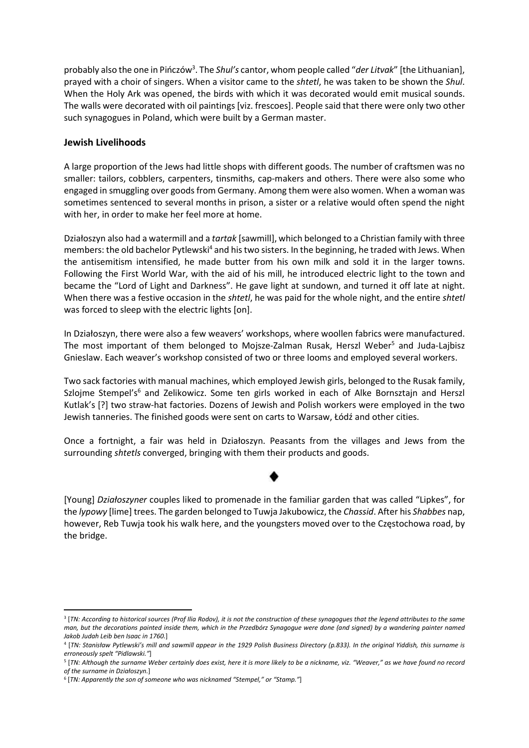probably also the one in Pińczów<sup>3</sup>. The Shul's cantor, whom people called "der Litvak" [the Lithuanian], prayed with a choir of singers. When a visitor came to the shtetl, he was taken to be shown the Shul. When the Holy Ark was opened, the birds with which it was decorated would emit musical sounds. The walls were decorated with oil paintings [viz. frescoes]. People said that there were only two other such synagogues in Poland, which were built by a German master.

## Jewish Livelihoods

A large proportion of the Jews had little shops with different goods. The number of craftsmen was no smaller: tailors, cobblers, carpenters, tinsmiths, cap-makers and others. There were also some who engaged in smuggling over goods from Germany. Among them were also women. When a woman was sometimes sentenced to several months in prison, a sister or a relative would often spend the night with her, in order to make her feel more at home.

Działoszyn also had a watermill and a tartak [sawmill], which belonged to a Christian family with three members: the old bachelor Pytlewski<sup>4</sup> and his two sisters. In the beginning, he traded with Jews. When the antisemitism intensified, he made butter from his own milk and sold it in the larger towns. Following the First World War, with the aid of his mill, he introduced electric light to the town and became the "Lord of Light and Darkness". He gave light at sundown, and turned it off late at night. When there was a festive occasion in the shtetl, he was paid for the whole night, and the entire shtetl was forced to sleep with the electric lights [on].

In Działoszyn, there were also a few weavers' workshops, where woollen fabrics were manufactured. The most important of them belonged to Mojsze-Zalman Rusak, Herszl Weber<sup>5</sup> and Juda-Lajbisz Gnieslaw. Each weaver's workshop consisted of two or three looms and employed several workers.

Two sack factories with manual machines, which employed Jewish girls, belonged to the Rusak family, Szlojme Stempel's<sup>6</sup> and Zelikowicz. Some ten girls worked in each of Alke Bornsztajn and Herszl Kutlak's [?] two straw-hat factories. Dozens of Jewish and Polish workers were employed in the two Jewish tanneries. The finished goods were sent on carts to Warsaw, Łódź and other cities.

Once a fortnight, a fair was held in Działoszyn. Peasants from the villages and Jews from the surrounding shtetls converged, bringing with them their products and goods.

[Young] Działoszyner couples liked to promenade in the familiar garden that was called "Lipkes", for the *lypowy* [lime] trees. The garden belonged to Tuwja Jakubowicz, the Chassid. After his Shabbes nap, however, Reb Tuwja took his walk here, and the youngsters moved over to the Częstochowa road, by the bridge.

<sup>3</sup> [TN: According to historical sources (Prof Ilia Rodov), it is not the construction of these synagogues that the legend attributes to the same man, but the decorations painted inside them, which in the Przedbórz Synagogue were done (and signed) by a wandering painter named Jakob Judah Leib ben Isaac in 1760.]

<sup>4</sup> [TN: Stanisław Pytlewski's mill and sawmill appear in the 1929 Polish Business Directory (p.833). In the original Yiddish, this surname is erroneously spelt "Pidlawski."]

<sup>5</sup> [TN: Although the surname Weber certainly does exist, here it is more likely to be a nickname, viz. "Weaver," as we have found no record of the surname in Działoszyn.]

<sup>&</sup>lt;sup>6</sup> [TN: Apparently the son of someone who was nicknamed "Stempel," or "Stamp."]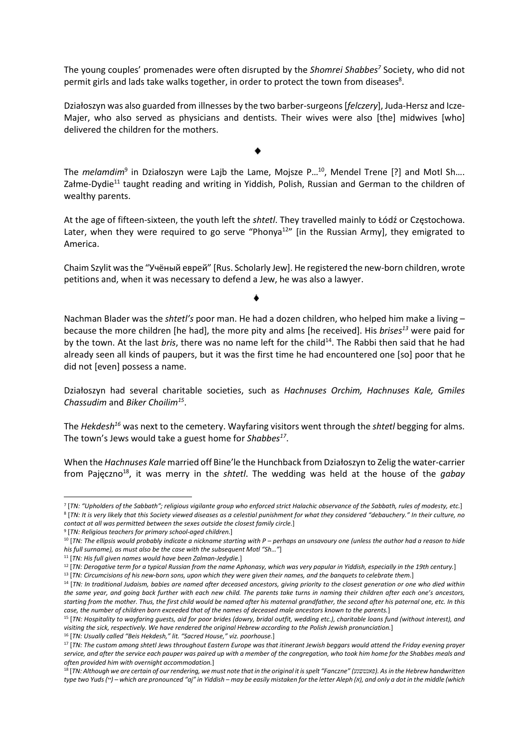The young couples' promenades were often disrupted by the Shomrei Shabbes<sup>7</sup> Society, who did not permit girls and lads take walks together, in order to protect the town from diseases<sup>8</sup>.

Działoszyn was also guarded from illnesses by the two barber-surgeons [felczery], Juda-Hersz and Icze-Majer, who also served as physicians and dentists. Their wives were also [the] midwives [who] delivered the children for the mothers.

The *melamdim*<sup>9</sup> in Działoszyn were Lajb the Lame, Mojsze P...<sup>10</sup>, Mendel Trene [?] and Motl Sh.... Załme-Dydie<sup>11</sup> taught reading and writing in Yiddish, Polish, Russian and German to the children of wealthy parents.

At the age of fifteen-sixteen, the youth left the shtetl. They travelled mainly to Łódź or Częstochowa. Later, when they were required to go serve "Phonya<sup>12"</sup> [in the Russian Army], they emigrated to America.

Chaim Szylit was the "Учёный еврей" [Rus. Scholarly Jew]. He registered the new-born children, wrote petitions and, when it was necessary to defend a Jew, he was also a lawyer.

Nachman Blader was the shtetl's poor man. He had a dozen children, who helped him make a living  $$ because the more children [he had], the more pity and alms [he received]. His brises<sup>13</sup> were paid for by the town. At the last bris, there was no name left for the child<sup>14</sup>. The Rabbi then said that he had already seen all kinds of paupers, but it was the first time he had encountered one [so] poor that he did not [even] possess a name.

Działoszyn had several charitable societies, such as Hachnuses Orchim, Hachnuses Kale, Gmiles Chassudim and Biker Choilim<sup>15</sup>.

The Hekdesh<sup>16</sup> was next to the cemetery. Wayfaring visitors went through the *shtetl* begging for alms. The town's Jews would take a guest home for Shabbes<sup>17</sup>.

When the Hachnuses Kale married off Bine'le the Hunchback from Działoszyn to Zelig the water-carrier from Pajęczno<sup>18</sup>, it was merry in the *shtetl*. The wedding was held at the house of the *gabay* 

<sup>7</sup> [TN: "Upholders of the Sabbath"; religious vigilante group who enforced strict Halachic observance of the Sabbath, rules of modesty, etc.] 8 [TN: It is very likely that this Society viewed diseases as a celestial punishment for what they considered "debauchery." In their culture, no contact at all was permitted between the sexes outside the closest family circle.]

<sup>&</sup>lt;sup>9</sup> [TN: Religious teachers for primary school-aged children.]

 $10$  [TN: The ellipsis would probably indicate a nickname starting with P – perhaps an unsavoury one (unless the author had a reason to hide his full surname), as must also be the case with the subsequent Motl "Sh…"]

<sup>&</sup>lt;sup>11</sup> [TN: His full given names would have been Zalman-Jedydie.]

<sup>&</sup>lt;sup>12</sup> [TN: Derogative term for a typical Russian from the name Aphonasy, which was very popular in Yiddish, especially in the 19th century.]

<sup>&</sup>lt;sup>13</sup> [TN: Circumcisions of his new-born sons, upon which they were given their names, and the banquets to celebrate them.]

<sup>&</sup>lt;sup>14</sup> [TN: In traditional Judaism, babies are named after deceased ancestors, giving priority to the closest generation or one who died within the same year, and going back further with each new child. The parents take turns in naming their children after each one's ancestors, starting from the mother. Thus, the first child would be named after his maternal grandfather, the second after his paternal one, etc. In this case, the number of children born exceeded that of the names of deceased male ancestors known to the parents.]

<sup>&</sup>lt;sup>15</sup> [TN: Hospitality to wayfaring guests, aid for poor brides (dowry, bridal outfit, wedding etc.), charitable loans fund (without interest), and visiting the sick, respectively. We have rendered the original Hebrew according to the Polish Jewish pronunciation.]

<sup>&</sup>lt;sup>16</sup> [TN: Usually called "Beis Hekdesh," lit. "Sacred House," viz. poorhouse.]

<sup>&</sup>lt;sup>17</sup> [TN: The custom among shtetl Jews throughout Eastern Europe was that itinerant Jewish beggars would attend the Friday evening prayer service, and after the service each pauper was paired up with a member of the congregation, who took him home for the Shabbes meals and often provided him with overnight accommodation.]

<sup>&</sup>lt;sup>18</sup> [TN: Although we are certain of our rendering, we must note that in the original it is spelt "Fanczne" (פאנטשנע). As in the Hebrew handwritten type two Yuds (") – which are pronounced "aj" in Yiddish – may be easily mistaken for the letter Aleph (x), and only a dot in the middle (which